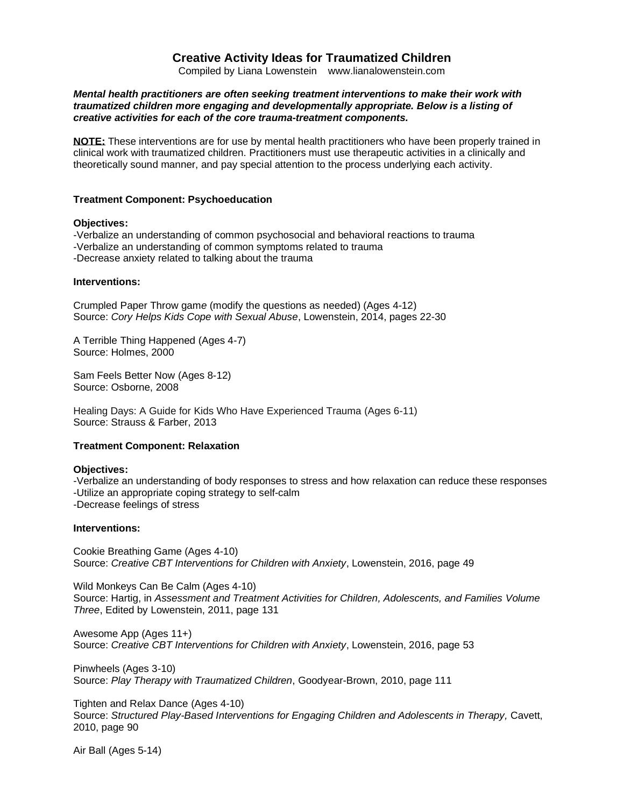# **Creative Activity Ideas for Traumatized Children**

Compiled by Liana Lowenstein www.lianalowenstein.com

# *Mental health practitioners are often seeking treatment interventions to make their work with traumatized children more engaging and developmentally appropriate. Below is a listing of creative activities for each of the core trauma-treatment components.*

**NOTE:** These interventions are for use by mental health practitioners who have been properly trained in clinical work with traumatized children. Practitioners must use therapeutic activities in a clinically and theoretically sound manner, and pay special attention to the process underlying each activity.

# **Treatment Component: Psychoeducation**

### **Objectives:**

-Verbalize an understanding of common psychosocial and behavioral reactions to trauma -Verbalize an understanding of common symptoms related to trauma -Decrease anxiety related to talking about the trauma

### **Interventions:**

Crumpled Paper Throw gam*e* (modify the questions as needed) (Ages 4-12) Source: *Cory Helps Kids Cope with Sexual Abuse*, Lowenstein, 2014, pages 22-30

A Terrible Thing Happened (Ages 4-7) Source: Holmes, 2000

Sam Feels Better Now (Ages 8-12) Source: Osborne, 2008

Healing Days: A Guide for Kids Who Have Experienced Trauma (Ages 6-11) Source: Strauss & Farber, 2013

# **Treatment Component: Relaxation**

#### **Objectives:**

-Verbalize an understanding of body responses to stress and how relaxation can reduce these responses -Utilize an appropriate coping strategy to self-calm -Decrease feelings of stress

#### **Interventions:**

Cookie Breathing Game (Ages 4-10) Source: *Creative CBT Interventions for Children with Anxiety*, Lowenstein, 2016, page 49

Wild Monkeys Can Be Calm (Ages 4-10) Source: Hartig, in *Assessment and Treatment Activities for Children, Adolescents, and Families Volume Three*, Edited by Lowenstein, 2011, page 131

Awesome App (Ages 11+) Source: *Creative CBT Interventions for Children with Anxiety*, Lowenstein, 2016, page 53

Pinwheels (Ages 3-10) Source: *Play Therapy with Traumatized Children*, Goodyear-Brown, 2010, page 111

Tighten and Relax Dance (Ages 4-10) Source: *Structured Play-Based Interventions for Engaging Children and Adolescents in Therapy,* Cavett, 2010, page 90

Air Ball (Ages 5-14)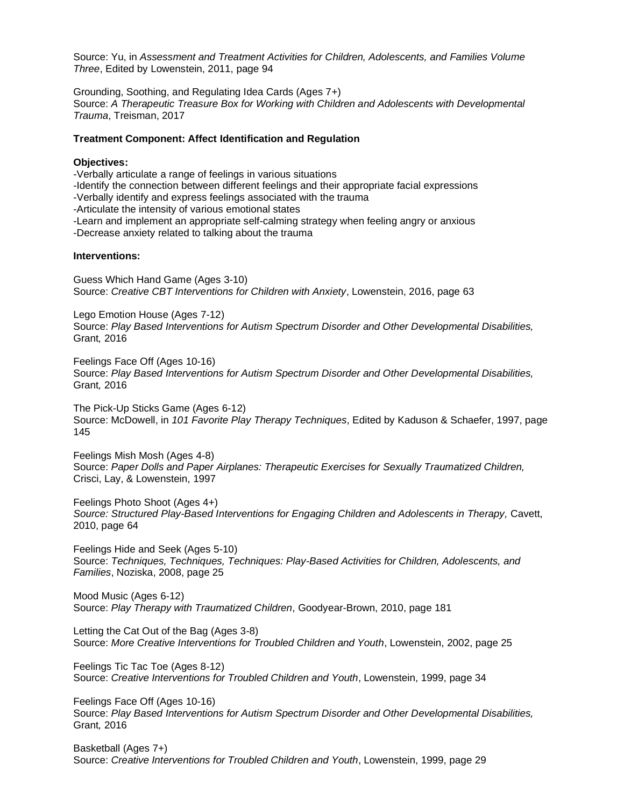Source: Yu, in *Assessment and Treatment Activities for Children, Adolescents, and Families Volume Three*, Edited by Lowenstein, 2011, page 94

Grounding, Soothing, and Regulating Idea Cards (Ages 7+) Source: *A Therapeutic Treasure Box for Working with Children and Adolescents with Developmental Trauma*, Treisman, 2017

# **Treatment Component: Affect Identification and Regulation**

#### **Objectives:**

-Verbally articulate a range of feelings in various situations -Identify the connection between different feelings and their appropriate facial expressions -Verbally identify and express feelings associated with the trauma -Articulate the intensity of various emotional states -Learn and implement an appropriate self-calming strategy when feeling angry or anxious -Decrease anxiety related to talking about the trauma

### **Interventions:**

Guess Which Hand Game (Ages 3-10) Source: *Creative CBT Interventions for Children with Anxiety*, Lowenstein, 2016, page 63

Lego Emotion House (Ages 7-12) Source: *Play Based Interventions for Autism Spectrum Disorder and Other Developmental Disabilities,*  Grant*,* 2016

Feelings Face Off (Ages 10-16) Source: *Play Based Interventions for Autism Spectrum Disorder and Other Developmental Disabilities,*  Grant*,* 2016

The Pick-Up Sticks Game (Ages 6-12) Source: McDowell, in *101 Favorite Play Therapy Techniques*, Edited by Kaduson & Schaefer, 1997, page 145

Feelings Mish Mosh (Ages 4-8) Source: *Paper Dolls and Paper Airplanes: Therapeutic Exercises for Sexually Traumatized Children,* Crisci, Lay, & Lowenstein, 1997

Feelings Photo Shoot (Ages 4+) *Source: Structured Play-Based Interventions for Engaging Children and Adolescents in Therapy,* Cavett, 2010, page 64

Feelings Hide and Seek (Ages 5-10) Source: *Techniques, Techniques, Techniques: Play-Based Activities for Children, Adolescents, and Families*, Noziska, 2008, page 25

Mood Music (Ages 6-12) Source: *Play Therapy with Traumatized Children*, Goodyear-Brown, 2010, page 181

Letting the Cat Out of the Bag (Ages 3-8) Source: *More Creative Interventions for Troubled Children and Youth*, Lowenstein, 2002, page 25

Feelings Tic Tac Toe (Ages 8-12) Source: *Creative Interventions for Troubled Children and Youth*, Lowenstein, 1999, page 34

Feelings Face Off (Ages 10-16) Source: *Play Based Interventions for Autism Spectrum Disorder and Other Developmental Disabilities,*  Grant*,* 2016

Basketball (Ages 7+) Source: *Creative Interventions for Troubled Children and Youth*, Lowenstein, 1999, page 29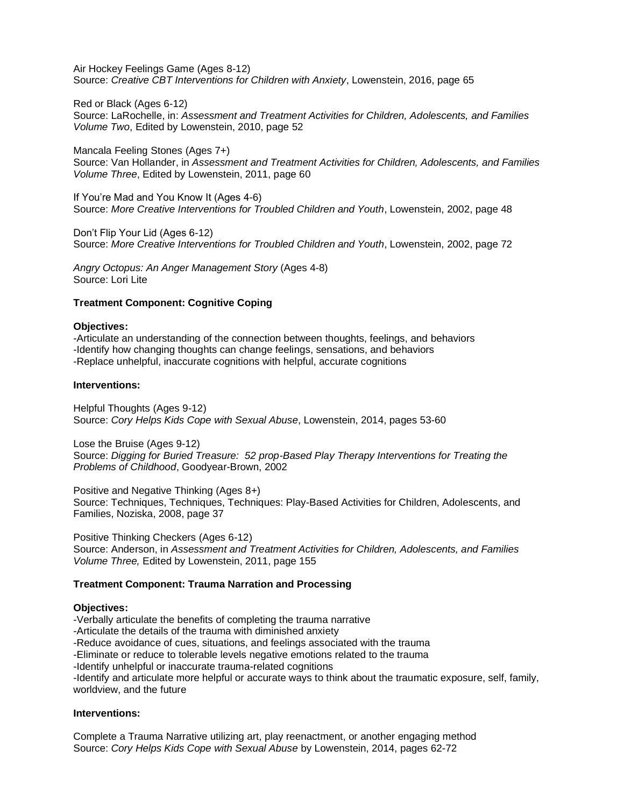Air Hockey Feelings Game (Ages 8-12) Source: *Creative CBT Interventions for Children with Anxiety*, Lowenstein, 2016, page 65

Red or Black (Ages 6-12)

Source: LaRochelle, in: *Assessment and Treatment Activities for Children, Adolescents, and Families Volume Two*, Edited by Lowenstein, 2010, page 52

Mancala Feeling Stones (Ages 7+) Source: Van Hollander, in *Assessment and Treatment Activities for Children, Adolescents, and Families Volume Three*, Edited by Lowenstein, 2011, page 60

If You're Mad and You Know It (Ages 4-6) Source: *More Creative Interventions for Troubled Children and Youth*, Lowenstein, 2002, page 48

Don't Flip Your Lid (Ages 6-12) Source: *More Creative Interventions for Troubled Children and Youth*, Lowenstein, 2002, page 72

*Angry Octopus: An Anger Management Story* (Ages 4-8) Source: Lori Lite

# **Treatment Component: Cognitive Coping**

#### **Objectives:**

-Articulate an understanding of the connection between thoughts, feelings, and behaviors -Identify how changing thoughts can change feelings, sensations, and behaviors -Replace unhelpful, inaccurate cognitions with helpful, accurate cognitions

### **Interventions:**

Helpful Thoughts (Ages 9-12) Source: *Cory Helps Kids Cope with Sexual Abuse*, Lowenstein, 2014, pages 53-60

Lose the Bruise (Ages 9-12) Source: *Digging for Buried Treasure: 52 prop-Based Play Therapy Interventions for Treating the Problems of Childhood*, Goodyear-Brown, 2002

Positive and Negative Thinking (Ages 8+) Source: Techniques, Techniques, Techniques: Play-Based Activities for Children, Adolescents, and Families, Noziska, 2008, page 37

Positive Thinking Checkers (Ages 6-12) Source: Anderson, in *Assessment and Treatment Activities for Children, Adolescents, and Families Volume Three,* Edited by Lowenstein, 2011, page 155

# **Treatment Component: Trauma Narration and Processing**

#### **Objectives:**

-Verbally articulate the benefits of completing the trauma narrative

-Articulate the details of the trauma with diminished anxiety

-Reduce avoidance of cues, situations, and feelings associated with the trauma

-Eliminate or reduce to tolerable levels negative emotions related to the trauma

-Identify unhelpful or inaccurate trauma-related cognitions

-Identify and articulate more helpful or accurate ways to think about the traumatic exposure, self, family, worldview, and the future

# **Interventions:**

Complete a Trauma Narrative utilizing art, play reenactment, or another engaging method Source: *Cory Helps Kids Cope with Sexual Abuse* by Lowenstein, 2014, pages 62-72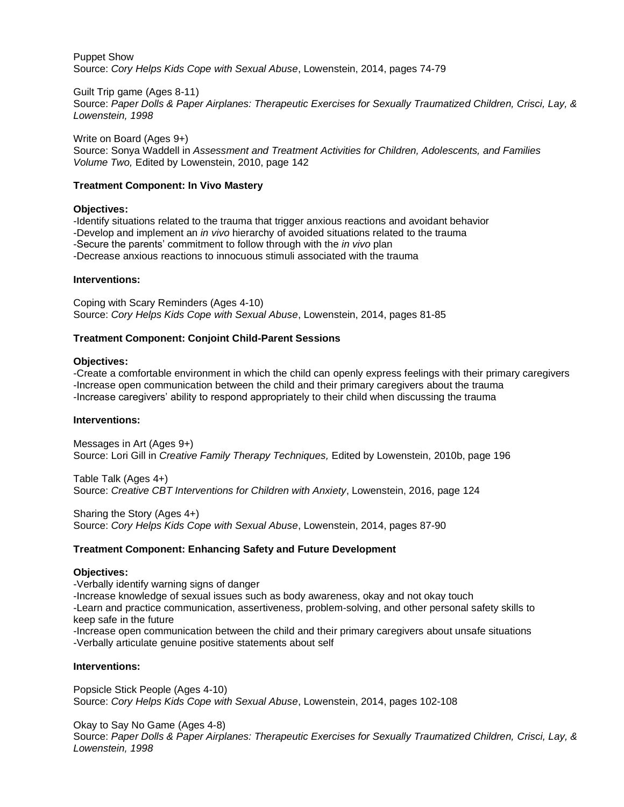Puppet Show Source: *Cory Helps Kids Cope with Sexual Abuse*, Lowenstein, 2014, pages 74-79

Guilt Trip game (Ages 8-11)

Source: *Paper Dolls & Paper Airplanes: Therapeutic Exercises for Sexually Traumatized Children, Crisci, Lay, & Lowenstein, 1998*

Write on Board (Ages 9+) Source: Sonya Waddell in *Assessment and Treatment Activities for Children, Adolescents, and Families Volume Two,* Edited by Lowenstein, 2010, page 142

# **Treatment Component: In Vivo Mastery**

### **Objectives:**

-Identify situations related to the trauma that trigger anxious reactions and avoidant behavior -Develop and implement an *in vivo* hierarchy of avoided situations related to the trauma -Secure the parents' commitment to follow through with the *in vivo* plan -Decrease anxious reactions to innocuous stimuli associated with the trauma

### **Interventions:**

Coping with Scary Reminders (Ages 4-10) Source: *Cory Helps Kids Cope with Sexual Abuse*, Lowenstein, 2014, pages 81-85

### **Treatment Component: Conjoint Child-Parent Sessions**

#### **Objectives:**

-Create a comfortable environment in which the child can openly express feelings with their primary caregivers -Increase open communication between the child and their primary caregivers about the trauma -Increase caregivers' ability to respond appropriately to their child when discussing the trauma

#### **Interventions:**

Messages in Art (Ages 9+) Source: Lori Gill in *Creative Family Therapy Techniques,* Edited by Lowenstein, 2010b, page 196

Table Talk (Ages 4+) Source: *Creative CBT Interventions for Children with Anxiety*, Lowenstein, 2016, page 124

Sharing the Story (Ages 4+) Source: *Cory Helps Kids Cope with Sexual Abuse*, Lowenstein, 2014, pages 87-90

# **Treatment Component: Enhancing Safety and Future Development**

#### **Objectives:**

-Verbally identify warning signs of danger

-Increase knowledge of sexual issues such as body awareness, okay and not okay touch

-Learn and practice communication, assertiveness, problem-solving, and other personal safety skills to keep safe in the future

-Increase open communication between the child and their primary caregivers about unsafe situations -Verbally articulate genuine positive statements about self

#### **Interventions:**

Popsicle Stick People (Ages 4-10) Source: *Cory Helps Kids Cope with Sexual Abuse*, Lowenstein, 2014, pages 102-108

Okay to Say No Game (Ages 4-8) Source: *Paper Dolls & Paper Airplanes: Therapeutic Exercises for Sexually Traumatized Children, Crisci, Lay, & Lowenstein, 1998*